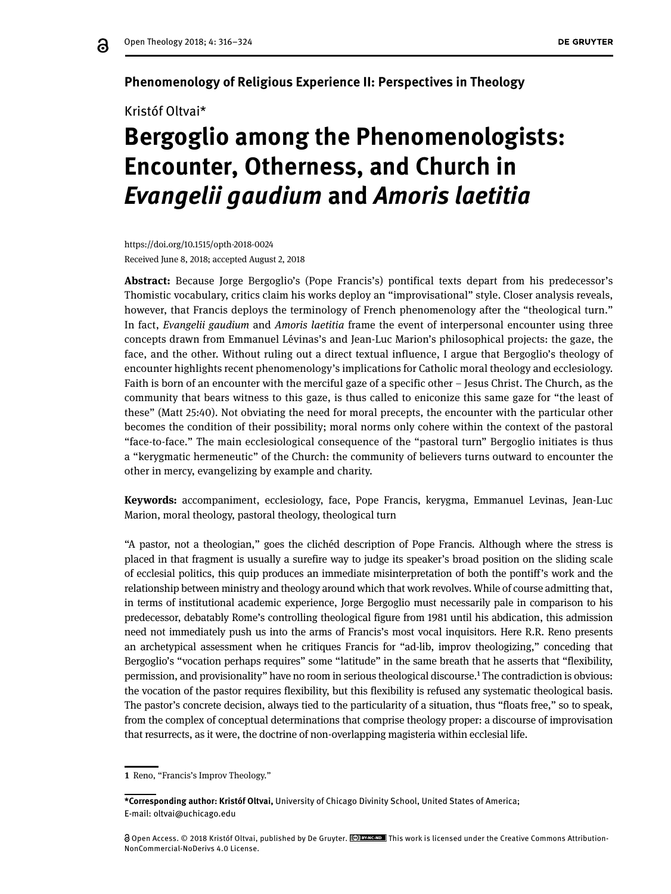#### **Phenomenology of Religious Experience II: Perspectives in Theology**

#### Kristóf Oltvai\*

# **Bergoglio among the Phenomenologists: Encounter, Otherness, and Church in**  *Evangelii gaudium* **and** *Amoris laetitia*

https://doi.org/10.1515/opth-2018-0024 Received June 8, 2018; accepted August 2, 2018

**Abstract:** Because Jorge Bergoglio's (Pope Francis's) pontifical texts depart from his predecessor's Thomistic vocabulary, critics claim his works deploy an "improvisational" style. Closer analysis reveals, however, that Francis deploys the terminology of French phenomenology after the "theological turn." In fact, *Evangelii gaudium* and *Amoris laetitia* frame the event of interpersonal encounter using three concepts drawn from Emmanuel Lévinas's and Jean-Luc Marion's philosophical projects: the gaze, the face, and the other. Without ruling out a direct textual influence, I argue that Bergoglio's theology of encounter highlights recent phenomenology's implications for Catholic moral theology and ecclesiology. Faith is born of an encounter with the merciful gaze of a specific other – Jesus Christ. The Church, as the community that bears witness to this gaze, is thus called to eniconize this same gaze for "the least of these" (Matt 25:40). Not obviating the need for moral precepts, the encounter with the particular other becomes the condition of their possibility; moral norms only cohere within the context of the pastoral "face-to-face." The main ecclesiological consequence of the "pastoral turn" Bergoglio initiates is thus a "kerygmatic hermeneutic" of the Church: the community of believers turns outward to encounter the other in mercy, evangelizing by example and charity.

**Keywords:** accompaniment, ecclesiology, face, Pope Francis, kerygma, Emmanuel Levinas, Jean-Luc Marion, moral theology, pastoral theology, theological turn

"A pastor, not a theologian," goes the clichéd description of Pope Francis. Although where the stress is placed in that fragment is usually a surefire way to judge its speaker's broad position on the sliding scale of ecclesial politics, this quip produces an immediate misinterpretation of both the pontiff's work and the relationship between ministry and theology around which that work revolves. While of course admitting that, in terms of institutional academic experience, Jorge Bergoglio must necessarily pale in comparison to his predecessor, debatably Rome's controlling theological figure from 1981 until his abdication, this admission need not immediately push us into the arms of Francis's most vocal inquisitors. Here R.R. Reno presents an archetypical assessment when he critiques Francis for "ad-lib, improv theologizing," conceding that Bergoglio's "vocation perhaps requires" some "latitude" in the same breath that he asserts that "flexibility, permission, and provisionality" have no room in serious theological discourse.1 The contradiction is obvious: the vocation of the pastor requires flexibility, but this flexibility is refused any systematic theological basis. The pastor's concrete decision, always tied to the particularity of a situation, thus "floats free," so to speak, from the complex of conceptual determinations that comprise theology proper: a discourse of improvisation that resurrects, as it were, the doctrine of non-overlapping magisteria within ecclesial life.

**<sup>1</sup>** Reno, "Francis's Improv Theology."

**<sup>\*</sup>Corresponding author: Kristóf Oltvai,** University of Chicago Divinity School, United States of America; E-mail: oltvai@uchicago.edu

Open Access. © 2018 Kristóf Oltvai, published by De Gruyter. This work is licensed under the Creative Commons Attribution-NonCommercial-NoDerivs 4.0 License.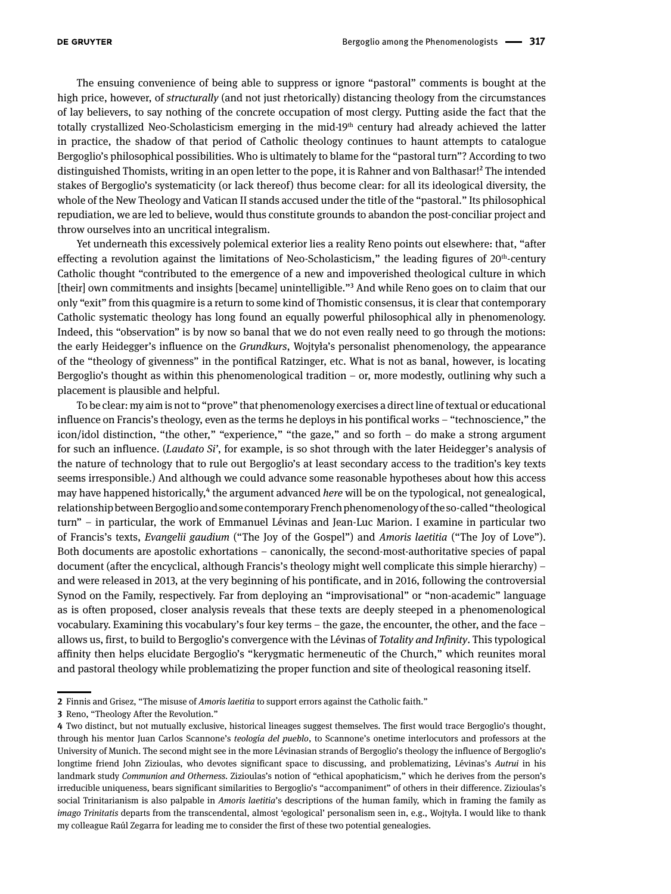The ensuing convenience of being able to suppress or ignore "pastoral" comments is bought at the high price, however, of *structurally* (and not just rhetorically) distancing theology from the circumstances of lay believers, to say nothing of the concrete occupation of most clergy. Putting aside the fact that the totally crystallized Neo-Scholasticism emerging in the mid-19<sup>th</sup> century had already achieved the latter in practice, the shadow of that period of Catholic theology continues to haunt attempts to catalogue Bergoglio's philosophical possibilities. Who is ultimately to blame for the "pastoral turn"? According to two distinguished Thomists, writing in an open letter to the pope, it is Rahner and von Balthasar!<sup>2</sup> The intended stakes of Bergoglio's systematicity (or lack thereof) thus become clear: for all its ideological diversity, the whole of the New Theology and Vatican II stands accused under the title of the "pastoral." Its philosophical repudiation, we are led to believe, would thus constitute grounds to abandon the post-conciliar project and throw ourselves into an uncritical integralism.

Yet underneath this excessively polemical exterior lies a reality Reno points out elsewhere: that, "after effecting a revolution against the limitations of Neo-Scholasticism," the leading figures of  $20<sup>th</sup>$ -century Catholic thought "contributed to the emergence of a new and impoverished theological culture in which [their] own commitments and insights [became] unintelligible."3 And while Reno goes on to claim that our only "exit" from this quagmire is a return to some kind of Thomistic consensus, it is clear that contemporary Catholic systematic theology has long found an equally powerful philosophical ally in phenomenology. Indeed, this "observation" is by now so banal that we do not even really need to go through the motions: the early Heidegger's influence on the *Grundkurs*, Wojtyła's personalist phenomenology, the appearance of the "theology of givenness" in the pontifical Ratzinger, etc. What is not as banal, however, is locating Bergoglio's thought as within this phenomenological tradition – or, more modestly, outlining why such a placement is plausible and helpful.

To be clear: my aim is not to "prove" that phenomenology exercises a direct line of textual or educational influence on Francis's theology, even as the terms he deploys in his pontifical works – "technoscience," the icon/idol distinction, "the other," "experience," "the gaze," and so forth – do make a strong argument for such an influence. (*Laudato Si'*, for example, is so shot through with the later Heidegger's analysis of the nature of technology that to rule out Bergoglio's at least secondary access to the tradition's key texts seems irresponsible.) And although we could advance some reasonable hypotheses about how this access may have happened historically,<sup>4</sup> the argument advanced *here* will be on the typological, not genealogical, relationship between Bergoglio and some contemporary French phenomenology of the so-called "theological turn" – in particular, the work of Emmanuel Lévinas and Jean-Luc Marion. I examine in particular two of Francis's texts, *Evangelii gaudium* ("The Joy of the Gospel") and *Amoris laetitia* ("The Joy of Love"). Both documents are apostolic exhortations – canonically, the second-most-authoritative species of papal document (after the encyclical, although Francis's theology might well complicate this simple hierarchy) – and were released in 2013, at the very beginning of his pontificate, and in 2016, following the controversial Synod on the Family, respectively. Far from deploying an "improvisational" or "non-academic" language as is often proposed, closer analysis reveals that these texts are deeply steeped in a phenomenological vocabulary. Examining this vocabulary's four key terms – the gaze, the encounter, the other, and the face – allows us, first, to build to Bergoglio's convergence with the Lévinas of *Totality and Infinity*. This typological affinity then helps elucidate Bergoglio's "kerygmatic hermeneutic of the Church," which reunites moral and pastoral theology while problematizing the proper function and site of theological reasoning itself.

**<sup>2</sup>** Finnis and Grisez, "The misuse of *Amoris laetitia* to support errors against the Catholic faith."

**<sup>3</sup>** Reno, "Theology After the Revolution."

**<sup>4</sup>** Two distinct, but not mutually exclusive, historical lineages suggest themselves. The first would trace Bergoglio's thought, through his mentor Juan Carlos Scannone's *teología del pueblo*, to Scannone's onetime interlocutors and professors at the University of Munich. The second might see in the more Lévinasian strands of Bergoglio's theology the influence of Bergoglio's longtime friend John Zizioulas, who devotes significant space to discussing, and problematizing, Lévinas's *Autrui* in his landmark study *Communion and Otherness.* Zizioulas's notion of "ethical apophaticism," which he derives from the person's irreducible uniqueness, bears significant similarities to Bergoglio's "accompaniment" of others in their difference. Zizioulas's social Trinitarianism is also palpable in *Amoris laetitia*'s descriptions of the human family, which in framing the family as *imago Trinitatis* departs from the transcendental, almost 'egological' personalism seen in, e.g., Wojtyła. I would like to thank my colleague Raúl Zegarra for leading me to consider the first of these two potential genealogies.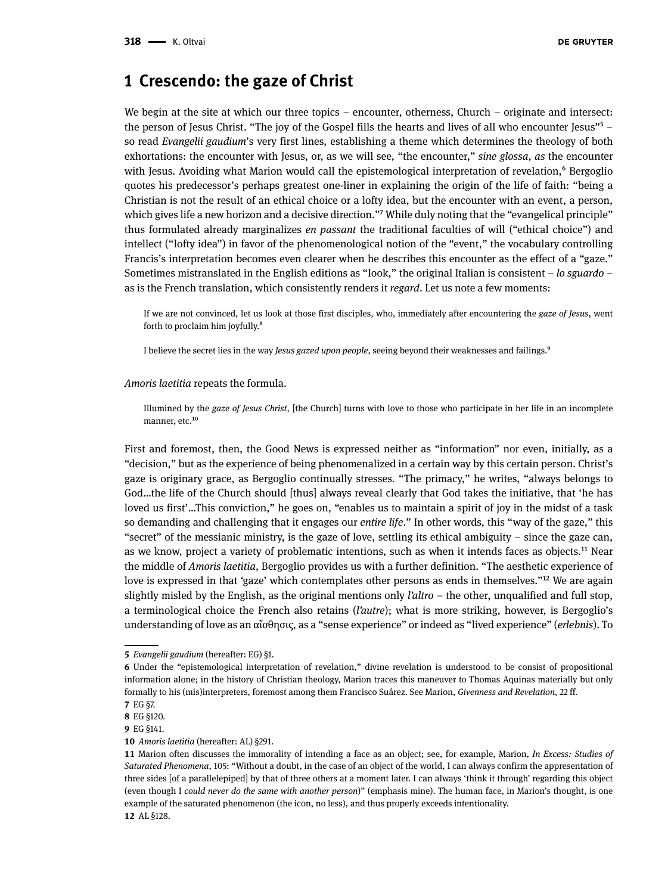#### **1 Crescendo: the gaze of Christ**

We begin at the site at which our three topics – encounter, otherness, Church – originate and intersect: the person of Jesus Christ. "The joy of the Gospel fills the hearts and lives of all who encounter Jesus"<sup>5</sup> – so read *Evangelii gaudium*'s very first lines, establishing a theme which determines the theology of both exhortations: the encounter with Jesus, or, as we will see, "the encounter," *sine glossa*, *as* the encounter with Jesus. Avoiding what Marion would call the epistemological interpretation of revelation,<sup>6</sup> Bergoglio quotes his predecessor's perhaps greatest one-liner in explaining the origin of the life of faith: "being a Christian is not the result of an ethical choice or a lofty idea, but the encounter with an event, a person, which gives life a new horizon and a decisive direction."<sup>7</sup> While duly noting that the "evangelical principle" thus formulated already marginalizes *en passant* the traditional faculties of will ("ethical choice") and intellect ("lofty idea") in favor of the phenomenological notion of the "event," the vocabulary controlling Francis's interpretation becomes even clearer when he describes this encounter as the effect of a "gaze." Sometimes mistranslated in the English editions as "look," the original Italian is consistent – *lo sguardo* – as is the French translation, which consistently renders it *regard*. Let us note a few moments:

If we are not convinced, let us look at those first disciples, who, immediately after encountering the *gaze of Jesus*, went forth to proclaim him joyfully.8

I believe the secret lies in the way *Jesus gazed upon people*, seeing beyond their weaknesses and failings.9

*Amoris laetitia* repeats the formula.

Illumined by the *gaze of Jesus Christ*, [the Church] turns with love to those who participate in her life in an incomplete manner, etc.<sup>10</sup>

First and foremost, then, the Good News is expressed neither as "information" nor even, initially, as a "decision," but as the experience of being phenomenalized in a certain way by this certain person. Christ's gaze is originary grace, as Bergoglio continually stresses. "The primacy," he writes, "always belongs to God…the life of the Church should [thus] always reveal clearly that God takes the initiative, that 'he has loved us first'...This conviction," he goes on, "enables us to maintain a spirit of joy in the midst of a task so demanding and challenging that it engages our *entire life*." In other words, this "way of the gaze," this "secret" of the messianic ministry, is the gaze of love, settling its ethical ambiguity – since the gaze can, as we know, project a variety of problematic intentions, such as when it intends faces as objects.<sup>11</sup> Near the middle of *Amoris laetitia*, Bergoglio provides us with a further definition. "The aesthetic experience of love is expressed in that 'gaze' which contemplates other persons as ends in themselves."<sup>12</sup> We are again slightly misled by the English, as the original mentions only *l'altro* – the other, unqualified and full stop, a terminological choice the French also retains (*l'autre*); what is more striking, however, is Bergoglio's understanding of love as an αἴσθησις, as a "sense experience" or indeed as "lived experience" (*erlebnis*). To

**<sup>5</sup>** *Evangelii gaudium* (hereafter: EG) §1.

**<sup>6</sup>** Under the "epistemological interpretation of revelation," divine revelation is understood to be consist of propositional information alone; in the history of Christian theology, Marion traces this maneuver to Thomas Aquinas materially but only formally to his (mis)interpreters, foremost among them Francisco Suárez. See Marion, *Givenness and Revelation*, 22 ff.

**<sup>7</sup>** EG §7.

**<sup>8</sup>** EG §120.

**<sup>9</sup>** EG §141.

**<sup>10</sup>** *Amoris laetitia* (hereafter: AL) §291.

**<sup>11</sup>** Marion often discusses the immorality of intending a face as an object; see, for example, Marion, *In Excess: Studies of Saturated Phenomena*, 105: "Without a doubt, in the case of an object of the world, I can always confirm the appresentation of three sides [of a parallelepiped] by that of three others at a moment later. I can always 'think it through' regarding this object (even though I *could never do the same with another person*)" (emphasis mine). The human face, in Marion's thought, is one example of the saturated phenomenon (the icon, no less), and thus properly exceeds intentionality.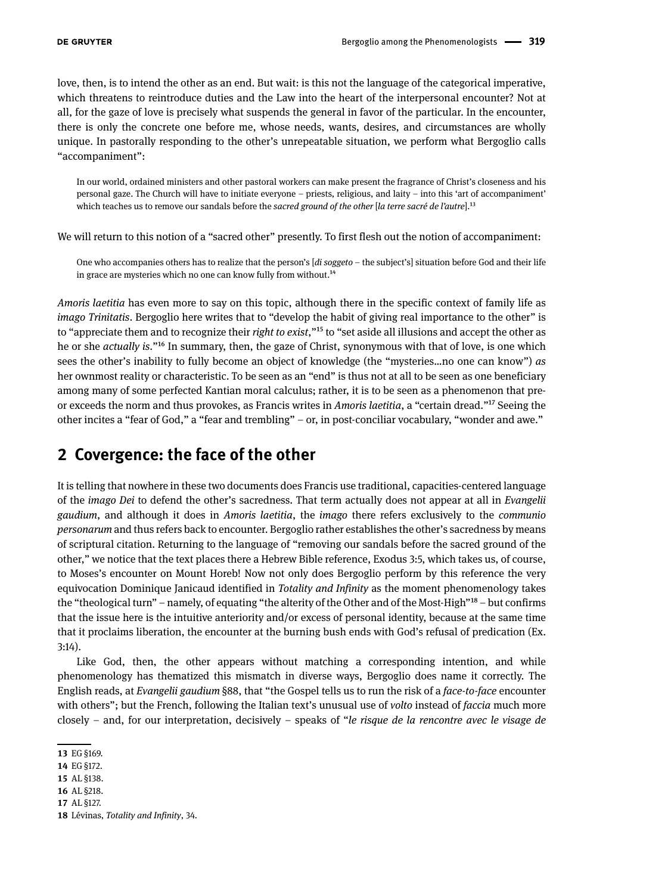love, then, is to intend the other as an end. But wait: is this not the language of the categorical imperative, which threatens to reintroduce duties and the Law into the heart of the interpersonal encounter? Not at all, for the gaze of love is precisely what suspends the general in favor of the particular. In the encounter, there is only the concrete one before me, whose needs, wants, desires, and circumstances are wholly unique. In pastorally responding to the other's unrepeatable situation, we perform what Bergoglio calls "accompaniment":

In our world, ordained ministers and other pastoral workers can make present the fragrance of Christ's closeness and his personal gaze. The Church will have to initiate everyone – priests, religious, and laity – into this 'art of accompaniment' which teaches us to remove our sandals before the *sacred ground of the other* [*la terre sacré de l'autre*].13

We will return to this notion of a "sacred other" presently. To first flesh out the notion of accompaniment:

One who accompanies others has to realize that the person's [*di soggeto* – the subject's] situation before God and their life in grace are mysteries which no one can know fully from without.<sup>14</sup>

*Amoris laetitia* has even more to say on this topic, although there in the specific context of family life as *imago Trinitatis*. Bergoglio here writes that to "develop the habit of giving real importance to the other" is to "appreciate them and to recognize their *right to exist*,"15 to "set aside all illusions and accept the other as he or she *actually is*."16 In summary, then, the gaze of Christ, synonymous with that of love, is one which sees the other's inability to fully become an object of knowledge (the "mysteries…no one can know") *as*  her ownmost reality or characteristic. To be seen as an "end" is thus not at all to be seen as one beneficiary among many of some perfected Kantian moral calculus; rather, it is to be seen as a phenomenon that preor exceeds the norm and thus provokes, as Francis writes in *Amoris laetitia*, a "certain dread."17 Seeing the other incites a "fear of God," a "fear and trembling" – or, in post-conciliar vocabulary, "wonder and awe."

### **2 Covergence: the face of the other**

It is telling that nowhere in these two documents does Francis use traditional, capacities-centered language of the *imago Dei* to defend the other's sacredness. That term actually does not appear at all in *Evangelii gaudium*, and although it does in *Amoris laetitia*, the *imago* there refers exclusively to the *communio personarum* and thus refers back to encounter. Bergoglio rather establishes the other's sacredness by means of scriptural citation. Returning to the language of "removing our sandals before the sacred ground of the other," we notice that the text places there a Hebrew Bible reference, Exodus 3:5, which takes us, of course, to Moses's encounter on Mount Horeb! Now not only does Bergoglio perform by this reference the very equivocation Dominique Janicaud identified in *Totality and Infinity* as the moment phenomenology takes the "theological turn" – namely, of equating "the alterity of the Other and of the Most-High"<sup>18</sup> – but confirms that the issue here is the intuitive anteriority and/or excess of personal identity, because at the same time that it proclaims liberation, the encounter at the burning bush ends with God's refusal of predication (Ex. 3:14).

Like God, then, the other appears without matching a corresponding intention, and while phenomenology has thematized this mismatch in diverse ways, Bergoglio does name it correctly. The English reads, at *Evangelii gaudium* §88, that "the Gospel tells us to run the risk of a *face-to-face* encounter with others"; but the French, following the Italian text's unusual use of *volto* instead of *faccia* much more closely – and, for our interpretation, decisively – speaks of "*le risque de la rencontre avec le visage de* 

**16** AL §218.

**<sup>13</sup>** EG §169.

**<sup>14</sup>** EG §172.

**<sup>15</sup>** AL §138.

**<sup>17</sup>** AL §127.

**<sup>18</sup>** Lévinas, *Totality and Infinity*, 34.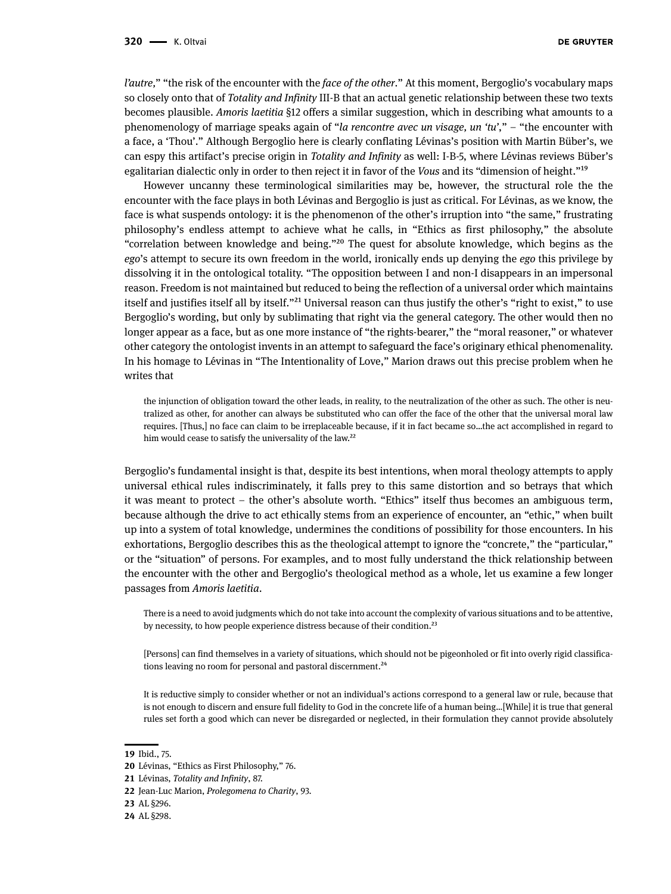*l'autre,*" "the risk of the encounter with the *face of the other*." At this moment, Bergoglio's vocabulary maps so closely onto that of *Totality and Infinity* III-B that an actual genetic relationship between these two texts becomes plausible. *Amoris laetitia* §12 offers a similar suggestion, which in describing what amounts to a phenomenology of marriage speaks again of "*la rencontre avec un visage, un 'tu'*," – "the encounter with a face, a 'Thou'." Although Bergoglio here is clearly conflating Lévinas's position with Martin Büber's, we can espy this artifact's precise origin in *Totality and Infinity* as well: I-B-5, where Lévinas reviews Büber's egalitarian dialectic only in order to then reject it in favor of the *Vous* and its "dimension of height."19

However uncanny these terminological similarities may be, however, the structural role the the encounter with the face plays in both Lévinas and Bergoglio is just as critical. For Lévinas, as we know, the face is what suspends ontology: it is the phenomenon of the other's irruption into "the same," frustrating philosophy's endless attempt to achieve what he calls, in "Ethics as first philosophy," the absolute "correlation between knowledge and being."20 The quest for absolute knowledge, which begins as the *ego*'s attempt to secure its own freedom in the world, ironically ends up denying the *ego* this privilege by dissolving it in the ontological totality. "The opposition between I and non-I disappears in an impersonal reason. Freedom is not maintained but reduced to being the reflection of a universal order which maintains itself and justifies itself all by itself."<sup>21</sup> Universal reason can thus justify the other's "right to exist," to use Bergoglio's wording, but only by sublimating that right via the general category. The other would then no longer appear as a face, but as one more instance of "the rights-bearer," the "moral reasoner," or whatever other category the ontologist invents in an attempt to safeguard the face's originary ethical phenomenality. In his homage to Lévinas in "The Intentionality of Love," Marion draws out this precise problem when he writes that

the injunction of obligation toward the other leads, in reality, to the neutralization of the other as such. The other is neutralized as other, for another can always be substituted who can offer the face of the other that the universal moral law requires. [Thus,] no face can claim to be irreplaceable because, if it in fact became so…the act accomplished in regard to him would cease to satisfy the universality of the law.<sup>22</sup>

Bergoglio's fundamental insight is that, despite its best intentions, when moral theology attempts to apply universal ethical rules indiscriminately, it falls prey to this same distortion and so betrays that which it was meant to protect – the other's absolute worth. "Ethics" itself thus becomes an ambiguous term, because although the drive to act ethically stems from an experience of encounter, an "ethic," when built up into a system of total knowledge, undermines the conditions of possibility for those encounters. In his exhortations, Bergoglio describes this as the theological attempt to ignore the "concrete," the "particular," or the "situation" of persons. For examples, and to most fully understand the thick relationship between the encounter with the other and Bergoglio's theological method as a whole, let us examine a few longer passages from *Amoris laetitia*.

There is a need to avoid judgments which do not take into account the complexity of various situations and to be attentive, by necessity, to how people experience distress because of their condition.<sup>23</sup>

[Persons] can find themselves in a variety of situations, which should not be pigeonholed or fit into overly rigid classifications leaving no room for personal and pastoral discernment.<sup>24</sup>

It is reductive simply to consider whether or not an individual's actions correspond to a general law or rule, because that is not enough to discern and ensure full fidelity to God in the concrete life of a human being…[While] it is true that general rules set forth a good which can never be disregarded or neglected, in their formulation they cannot provide absolutely

**23** AL §296.

**<sup>19</sup>** Ibid., 75.

**<sup>20</sup>** Lévinas, "Ethics as First Philosophy," 76.

**<sup>21</sup>** Lévinas, *Totality and Infinity*, 87.

**<sup>22</sup>** Jean-Luc Marion, *Prolegomena to Charity*, 93.

**<sup>24</sup>** AL §298.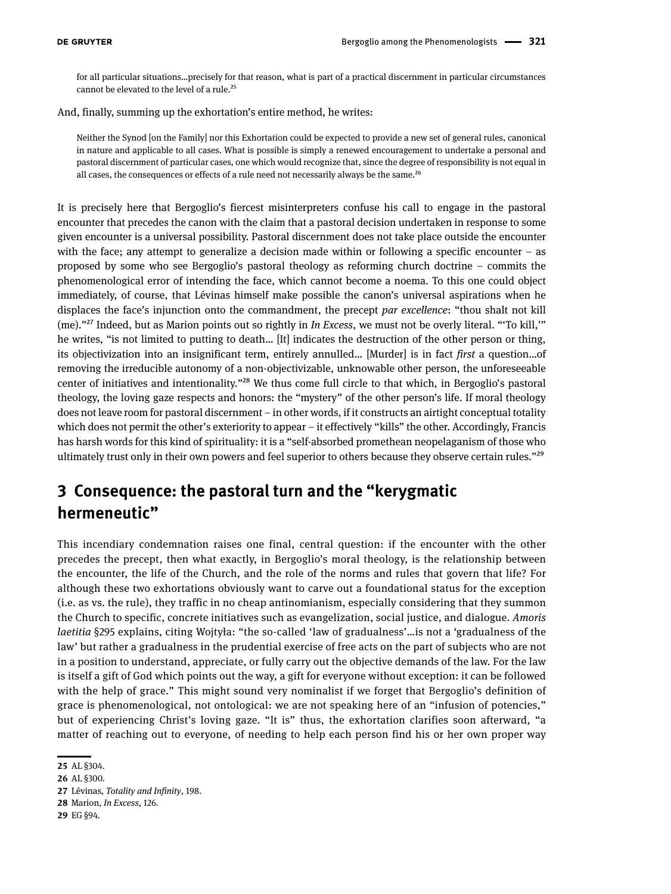for all particular situations…precisely for that reason, what is part of a practical discernment in particular circumstances cannot be elevated to the level of a rule.<sup>25</sup>

And, finally, summing up the exhortation's entire method, he writes:

Neither the Synod [on the Family] nor this Exhortation could be expected to provide a new set of general rules, canonical in nature and applicable to all cases. What is possible is simply a renewed encouragement to undertake a personal and pastoral discernment of particular cases, one which would recognize that, since the degree of responsibility is not equal in all cases, the consequences or effects of a rule need not necessarily always be the same.<sup>26</sup>

It is precisely here that Bergoglio's fiercest misinterpreters confuse his call to engage in the pastoral encounter that precedes the canon with the claim that a pastoral decision undertaken in response to some given encounter is a universal possibility. Pastoral discernment does not take place outside the encounter with the face; any attempt to generalize a decision made within or following a specific encounter  $-$  as proposed by some who see Bergoglio's pastoral theology as reforming church doctrine – commits the phenomenological error of intending the face, which cannot become a noema. To this one could object immediately, of course, that Lévinas himself make possible the canon's universal aspirations when he displaces the face's injunction onto the commandment, the precept *par excellence*: "thou shalt not kill (me)."27 Indeed, but as Marion points out so rightly in *In Excess*, we must not be overly literal. "'To kill,'" he writes, "is not limited to putting to death… [It] indicates the destruction of the other person or thing, its objectivization into an insignificant term, entirely annulled… [Murder] is in fact *first* a question…of removing the irreducible autonomy of a non-objectivizable, unknowable other person, the unforeseeable center of initiatives and intentionality."28 We thus come full circle to that which, in Bergoglio's pastoral theology, the loving gaze respects and honors: the "mystery" of the other person's life. If moral theology does not leave room for pastoral discernment – in other words, if it constructs an airtight conceptual totality which does not permit the other's exteriority to appear – it effectively "kills" the other. Accordingly, Francis has harsh words for this kind of spirituality: it is a "self-absorbed promethean neopelaganism of those who ultimately trust only in their own powers and feel superior to others because they observe certain rules."<sup>29</sup>

## **3 Consequence: the pastoral turn and the "kerygmatic hermeneutic"**

This incendiary condemnation raises one final, central question: if the encounter with the other precedes the precept, then what exactly, in Bergoglio's moral theology, is the relationship between the encounter, the life of the Church, and the role of the norms and rules that govern that life? For although these two exhortations obviously want to carve out a foundational status for the exception (i.e. as vs. the rule), they traffic in no cheap antinomianism, especially considering that they summon the Church to specific, concrete initiatives such as evangelization, social justice, and dialogue. *Amoris laetitia* §295 explains, citing Wojtyła: "the so-called 'law of gradualness'…is not a 'gradualness of the law' but rather a gradualness in the prudential exercise of free acts on the part of subjects who are not in a position to understand, appreciate, or fully carry out the objective demands of the law. For the law is itself a gift of God which points out the way, a gift for everyone without exception: it can be followed with the help of grace." This might sound very nominalist if we forget that Bergoglio's definition of grace is phenomenological, not ontological: we are not speaking here of an "infusion of potencies," but of experiencing Christ's loving gaze. "It is" thus, the exhortation clarifies soon afterward, "a matter of reaching out to everyone, of needing to help each person find his or her own proper way

**27** Lévinas, *Totality and Infinity*, 198.

**<sup>25</sup>** AL §304.

**<sup>26</sup>** AL §300.

**<sup>28</sup>** Marion, *In Excess*, 126.

**<sup>29</sup>** EG §94.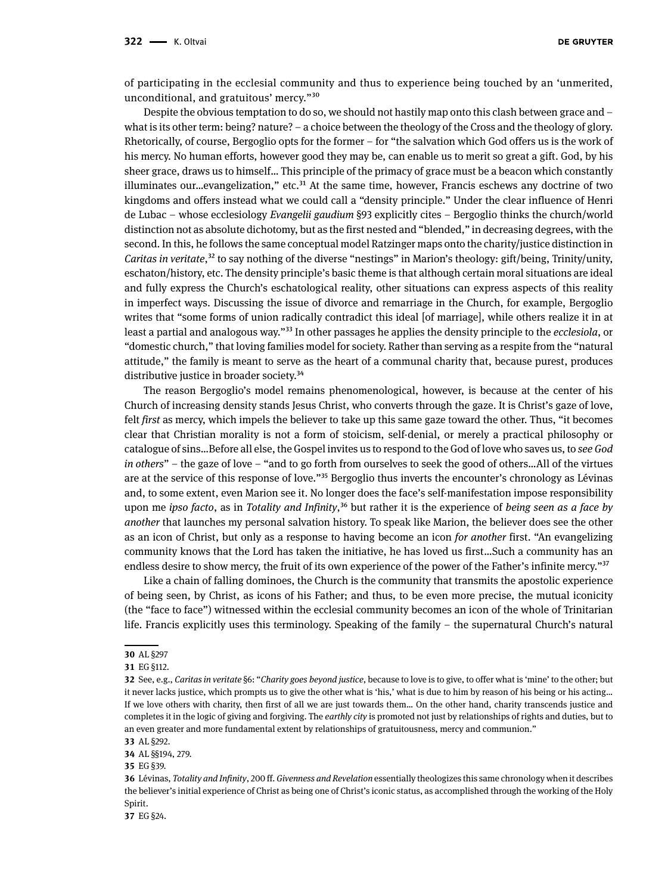of participating in the ecclesial community and thus to experience being touched by an 'unmerited, unconditional, and gratuitous' mercy."30

Despite the obvious temptation to do so, we should not hastily map onto this clash between grace and – what is its other term: being? nature? – a choice between the theology of the Cross and the theology of glory. Rhetorically, of course, Bergoglio opts for the former – for "the salvation which God offers us is the work of his mercy. No human efforts, however good they may be, can enable us to merit so great a gift. God, by his sheer grace, draws us to himself… This principle of the primacy of grace must be a beacon which constantly illuminates our...evangelization," etc. $31$  At the same time, however, Francis eschews any doctrine of two kingdoms and offers instead what we could call a "density principle." Under the clear influence of Henri de Lubac – whose ecclesiology *Evangelii gaudium* §93 explicitly cites – Bergoglio thinks the church/world distinction not as absolute dichotomy, but as the first nested and "blended," in decreasing degrees, with the second. In this, he follows the same conceptual model Ratzinger maps onto the charity/justice distinction in *Caritas in veritate*,<sup>32</sup> to say nothing of the diverse "nestings" in Marion's theology: gift/being, Trinity/unity, eschaton/history, etc. The density principle's basic theme is that although certain moral situations are ideal and fully express the Church's eschatological reality, other situations can express aspects of this reality in imperfect ways. Discussing the issue of divorce and remarriage in the Church, for example, Bergoglio writes that "some forms of union radically contradict this ideal [of marriage], while others realize it in at least a partial and analogous way."33 In other passages he applies the density principle to the *ecclesiola*, or "domestic church," that loving families model for society. Rather than serving as a respite from the "natural attitude," the family is meant to serve as the heart of a communal charity that, because purest, produces distributive justice in broader society.<sup>34</sup>

The reason Bergoglio's model remains phenomenological, however, is because at the center of his Church of increasing density stands Jesus Christ, who converts through the gaze. It is Christ's gaze of love, felt *first* as mercy, which impels the believer to take up this same gaze toward the other. Thus, "it becomes clear that Christian morality is not a form of stoicism, self-denial, or merely a practical philosophy or catalogue of sins…Before all else, the Gospel invites us to respond to the God of love who saves us, to *see God in others*" – the gaze of love – "and to go forth from ourselves to seek the good of others…All of the virtues are at the service of this response of love."35 Bergoglio thus inverts the encounter's chronology as Lévinas and, to some extent, even Marion see it. No longer does the face's self-manifestation impose responsibility upon me *ipso facto*, as in *Totality and Infinity*,<sup>36</sup> but rather it is the experience of *being seen as a face by another* that launches my personal salvation history. To speak like Marion, the believer does see the other as an icon of Christ, but only as a response to having become an icon *for another* first. "An evangelizing community knows that the Lord has taken the initiative, he has loved us first…Such a community has an endless desire to show mercy, the fruit of its own experience of the power of the Father's infinite mercy."37

Like a chain of falling dominoes, the Church is the community that transmits the apostolic experience of being seen, by Christ, as icons of his Father; and thus, to be even more precise, the mutual iconicity (the "face to face") witnessed within the ecclesial community becomes an icon of the whole of Trinitarian life. Francis explicitly uses this terminology. Speaking of the family – the supernatural Church's natural

**34** AL §§194, 279.

**35** EG §39.

**37** EG §24.

**<sup>30</sup>** AL §297

**<sup>31</sup>** EG §112.

**<sup>32</sup>** See, e.g., *Caritas in veritate* §6: "*Charity goes beyond justice*, because to love is to give, to offer what is 'mine' to the other; but it never lacks justice, which prompts us to give the other what is 'his,' what is due to him by reason of his being or his acting… If we love others with charity, then first of all we are just towards them… On the other hand, charity transcends justice and completes it in the logic of giving and forgiving. The *earthly city* is promoted not just by relationships of rights and duties, but to an even greater and more fundamental extent by relationships of gratuitousness, mercy and communion."

**<sup>33</sup>** AL §292.

**<sup>36</sup>** Lévinas, *Totality and Infinity*, 200 ff. *Givenness and Revelation* essentially theologizes this same chronology when it describes the believer's initial experience of Christ as being one of Christ's iconic status, as accomplished through the working of the Holy Spirit.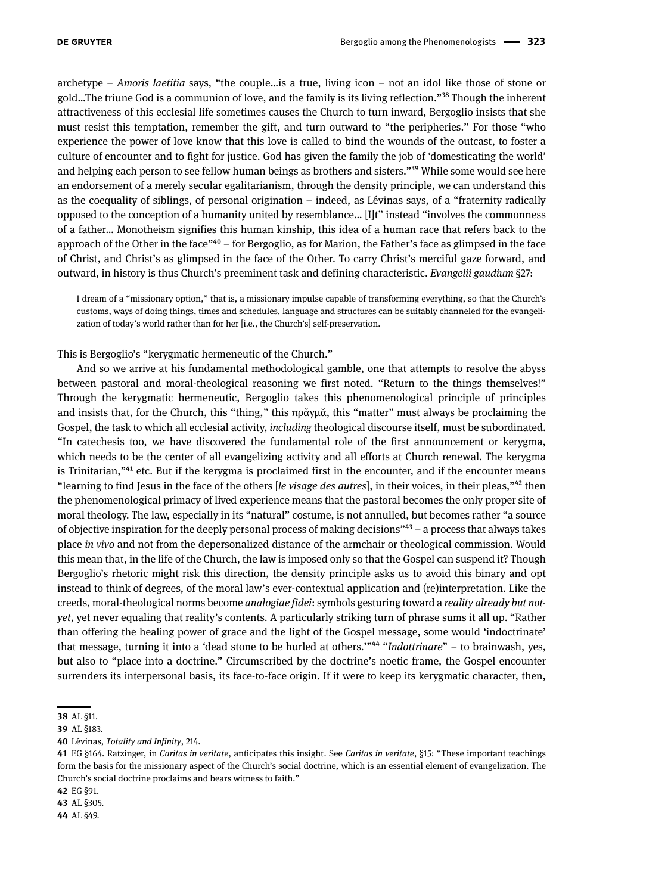archetype – *Amoris laetitia* says, "the couple…is a true, living icon – not an idol like those of stone or gold…The triune God is a communion of love, and the family is its living reflection."38 Though the inherent attractiveness of this ecclesial life sometimes causes the Church to turn inward, Bergoglio insists that she must resist this temptation, remember the gift, and turn outward to "the peripheries." For those "who experience the power of love know that this love is called to bind the wounds of the outcast, to foster a culture of encounter and to fight for justice. God has given the family the job of 'domesticating the world' and helping each person to see fellow human beings as brothers and sisters."<sup>39</sup> While some would see here an endorsement of a merely secular egalitarianism, through the density principle, we can understand this as the coequality of siblings, of personal origination – indeed, as Lévinas says, of a "fraternity radically opposed to the conception of a humanity united by resemblance… [I]t" instead "involves the commonness of a father… Monotheism signifies this human kinship, this idea of a human race that refers back to the approach of the Other in the face"40 – for Bergoglio, as for Marion, the Father's face as glimpsed in the face of Christ, and Christ's as glimpsed in the face of the Other. To carry Christ's merciful gaze forward, and outward, in history is thus Church's preeminent task and defining characteristic. *Evangelii gaudium* §27:

I dream of a "missionary option," that is, a missionary impulse capable of transforming everything, so that the Church's customs, ways of doing things, times and schedules, language and structures can be suitably channeled for the evangelization of today's world rather than for her [i.e., the Church's] self-preservation.

This is Bergoglio's "kerygmatic hermeneutic of the Church."

And so we arrive at his fundamental methodological gamble, one that attempts to resolve the abyss between pastoral and moral-theological reasoning we first noted. "Return to the things themselves!" Through the kerygmatic hermeneutic, Bergoglio takes this phenomenological principle of principles and insists that, for the Church, this "thing," this πρᾶγμᾰ, this "matter" must always be proclaiming the Gospel, the task to which all ecclesial activity, *including* theological discourse itself, must be subordinated. "In catechesis too, we have discovered the fundamental role of the first announcement or kerygma, which needs to be the center of all evangelizing activity and all efforts at Church renewal. The kerygma is Trinitarian,"<sup>41</sup> etc. But if the kerygma is proclaimed first in the encounter, and if the encounter means "learning to find Jesus in the face of the others [*le visage des autres*], in their voices, in their pleas,"42 then the phenomenological primacy of lived experience means that the pastoral becomes the only proper site of moral theology. The law, especially in its "natural" costume, is not annulled, but becomes rather "a source of objective inspiration for the deeply personal process of making decisions"43 – a process that always takes place *in vivo* and not from the depersonalized distance of the armchair or theological commission. Would this mean that, in the life of the Church, the law is imposed only so that the Gospel can suspend it? Though Bergoglio's rhetoric might risk this direction, the density principle asks us to avoid this binary and opt instead to think of degrees, of the moral law's ever-contextual application and (re)interpretation. Like the creeds, moral-theological norms become *analogiae fidei*: symbols gesturing toward a *reality already but notyet*, yet never equaling that reality's contents. A particularly striking turn of phrase sums it all up. "Rather than offering the healing power of grace and the light of the Gospel message, some would 'indoctrinate' that message, turning it into a 'dead stone to be hurled at others.'"44 "*Indottrinare*" – to brainwash, yes, but also to "place into a doctrine." Circumscribed by the doctrine's noetic frame, the Gospel encounter surrenders its interpersonal basis, its face-to-face origin. If it were to keep its kerygmatic character, then,

**<sup>38</sup>** AL §11.

**<sup>39</sup>** AL §183.

**<sup>40</sup>** Lévinas, *Totality and Infinity*, 214.

**<sup>41</sup>** EG §164. Ratzinger, in *Caritas in veritate*, anticipates this insight. See *Caritas in veritate*, §15: "These important teachings form the basis for the missionary aspect of the Church's social doctrine, which is an essential element of evangelization. The Church's social doctrine proclaims and bears witness to faith."

**<sup>42</sup>** EG §91.

**<sup>43</sup>** AL §305.

**<sup>44</sup>** AL §49.